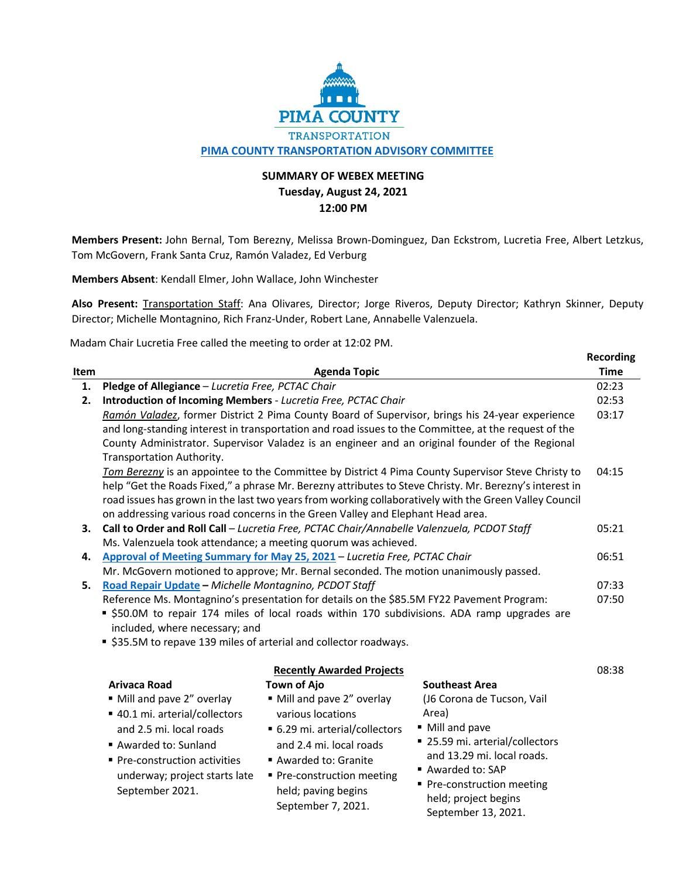

## **SUMMARY OF WEBEX MEETING Tuesday, August 24, 2021 12:00 PM**

**Members Present:** John Bernal, Tom Berezny, Melissa Brown-Dominguez, Dan Eckstrom, Lucretia Free, Albert Letzkus, Tom McGovern, Frank Santa Cruz, Ramón Valadez, Ed Verburg

**Members Absent**: Kendall Elmer, John Wallace, John Winchester

**Also Present:** Transportation Staff: Ana Olivares, Director; Jorge Riveros, Deputy Director; Kathryn Skinner, Deputy Director; Michelle Montagnino, Rich Franz-Under, Robert Lane, Annabelle Valenzuela.

Madam Chair Lucretia Free called the meeting to order at 12:02 PM.

|      |                                                                                                                                                                                          |                                  |                                                                                                         | <b>Recording</b> |
|------|------------------------------------------------------------------------------------------------------------------------------------------------------------------------------------------|----------------------------------|---------------------------------------------------------------------------------------------------------|------------------|
| Item |                                                                                                                                                                                          | <b>Agenda Topic</b>              |                                                                                                         | <b>Time</b>      |
| 1.   | Pledge of Allegiance - Lucretia Free, PCTAC Chair                                                                                                                                        |                                  |                                                                                                         | 02:23            |
| 2.   | Introduction of Incoming Members - Lucretia Free, PCTAC Chair                                                                                                                            |                                  |                                                                                                         | 02:53            |
|      |                                                                                                                                                                                          |                                  | Ramón Valadez, former District 2 Pima County Board of Supervisor, brings his 24-year experience         | 03:17            |
|      |                                                                                                                                                                                          |                                  | and long-standing interest in transportation and road issues to the Committee, at the request of the    |                  |
|      |                                                                                                                                                                                          |                                  | County Administrator. Supervisor Valadez is an engineer and an original founder of the Regional         |                  |
|      | Transportation Authority.                                                                                                                                                                |                                  |                                                                                                         |                  |
|      |                                                                                                                                                                                          |                                  | Tom Berezny is an appointee to the Committee by District 4 Pima County Supervisor Steve Christy to      | 04:15            |
|      |                                                                                                                                                                                          |                                  | help "Get the Roads Fixed," a phrase Mr. Berezny attributes to Steve Christy. Mr. Berezny's interest in |                  |
|      | road issues has grown in the last two years from working collaboratively with the Green Valley Council                                                                                   |                                  |                                                                                                         |                  |
|      | on addressing various road concerns in the Green Valley and Elephant Head area.                                                                                                          |                                  |                                                                                                         |                  |
| 3.   | Call to Order and Roll Call - Lucretia Free, PCTAC Chair/Annabelle Valenzuela, PCDOT Staff                                                                                               |                                  |                                                                                                         | 05:21            |
|      | Ms. Valenzuela took attendance; a meeting quorum was achieved.                                                                                                                           |                                  |                                                                                                         |                  |
| 4.   | Approval of Meeting Summary for May 25, 2021 - Lucretia Free, PCTAC Chair                                                                                                                |                                  |                                                                                                         | 06:51            |
|      | Mr. McGovern motioned to approve; Mr. Bernal seconded. The motion unanimously passed.                                                                                                    |                                  |                                                                                                         |                  |
| 5.   | Road Repair Update - Michelle Montagnino, PCDOT Staff                                                                                                                                    |                                  |                                                                                                         | 07:33            |
|      | Reference Ms. Montagnino's presentation for details on the \$85.5M FY22 Pavement Program:<br>• \$50.0M to repair 174 miles of local roads within 170 subdivisions. ADA ramp upgrades are |                                  |                                                                                                         | 07:50            |
|      |                                                                                                                                                                                          |                                  |                                                                                                         |                  |
|      | included, where necessary; and                                                                                                                                                           |                                  |                                                                                                         |                  |
|      | ■ \$35.5M to repave 139 miles of arterial and collector roadways.                                                                                                                        |                                  |                                                                                                         |                  |
|      |                                                                                                                                                                                          | <b>Recently Awarded Projects</b> |                                                                                                         | 08:38            |
|      | Arivaca Road                                                                                                                                                                             | <b>Town of Ajo</b>               | <b>Southeast Area</b>                                                                                   |                  |
|      | " Mill and pave 2" overlay                                                                                                                                                               | " Mill and pave 2" overlay       | (J6 Corona de Tucson, Vail                                                                              |                  |
|      | ■ 40.1 mi. arterial/collectors                                                                                                                                                           | various locations                | Area)                                                                                                   |                  |
|      | and 2.5 mi. local roads                                                                                                                                                                  | ■ 6.29 mi. arterial/collectors   | • Mill and pave                                                                                         |                  |
|      |                                                                                                                                                                                          | and 2.4 mi. local roads          | ■ 25.59 mi. arterial/collectors                                                                         |                  |
|      | Awarded to: Sunland                                                                                                                                                                      |                                  | and 13.29 mi. local roads.                                                                              |                  |
|      | ■ Pre-construction activities                                                                                                                                                            | Awarded to: Granite              | Awarded to: SAP                                                                                         |                  |
|      | underway; project starts late                                                                                                                                                            | • Pre-construction meeting       | Pre-construction meeting                                                                                |                  |
|      | September 2021.                                                                                                                                                                          | held; paving begins              | held; project begins                                                                                    |                  |
|      |                                                                                                                                                                                          | September 7, 2021.               | September 13, 2021.                                                                                     |                  |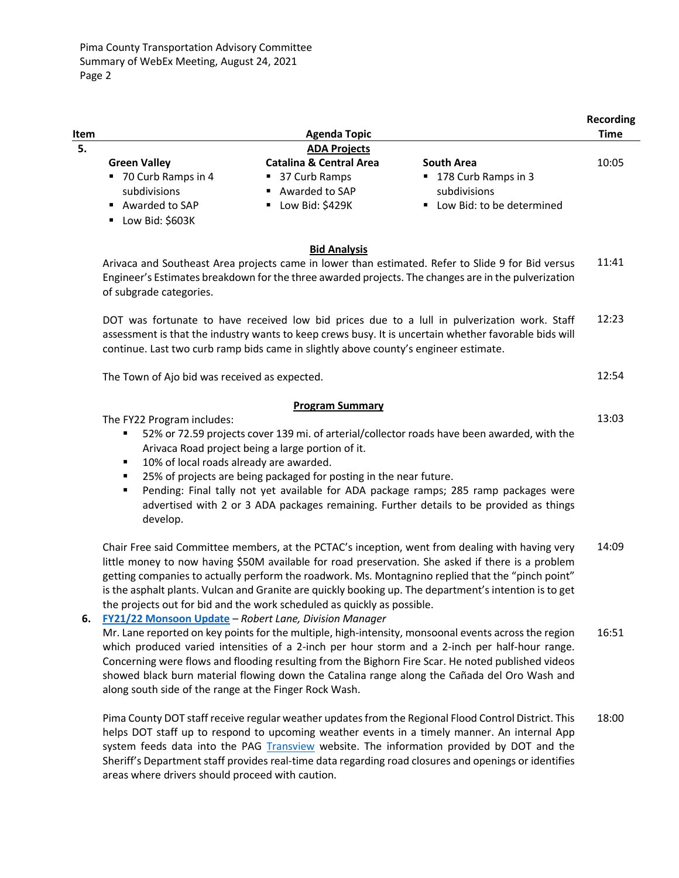|      |                                                                           |                                                        |                                                                      | <b>Recording</b> |
|------|---------------------------------------------------------------------------|--------------------------------------------------------|----------------------------------------------------------------------|------------------|
| Item |                                                                           | <b>Agenda Topic</b>                                    |                                                                      | <b>Time</b>      |
| 5.   |                                                                           | <b>ADA Projects</b>                                    |                                                                      |                  |
|      | <b>Green Valley</b>                                                       | <b>Catalina &amp; Central Area</b>                     | <b>South Area</b>                                                    | 10:05            |
|      | ■ 70 Curb Ramps in 4<br>subdivisions<br>Awarded to SAP<br>Low Bid: \$603K | ■ 37 Curb Ramps<br>■ Awarded to SAP<br>Low Bid: \$429K | ■ 178 Curb Ramps in 3<br>subdivisions<br>■ Low Bid: to be determined |                  |

|    | <b>Bid Analysis</b><br>Arivaca and Southeast Area projects came in lower than estimated. Refer to Slide 9 for Bid versus<br>Engineer's Estimates breakdown for the three awarded projects. The changes are in the pulverization<br>of subgrade categories.                                                                                                                                                                                                                                                                                                           | 11:41 |
|----|----------------------------------------------------------------------------------------------------------------------------------------------------------------------------------------------------------------------------------------------------------------------------------------------------------------------------------------------------------------------------------------------------------------------------------------------------------------------------------------------------------------------------------------------------------------------|-------|
|    | DOT was fortunate to have received low bid prices due to a lull in pulverization work. Staff<br>assessment is that the industry wants to keep crews busy. It is uncertain whether favorable bids will<br>continue. Last two curb ramp bids came in slightly above county's engineer estimate.                                                                                                                                                                                                                                                                        | 12:23 |
|    | The Town of Ajo bid was received as expected.                                                                                                                                                                                                                                                                                                                                                                                                                                                                                                                        | 12:54 |
|    | <b>Program Summary</b><br>The FY22 Program includes:<br>52% or 72.59 projects cover 139 mi. of arterial/collector roads have been awarded, with the<br>Arivaca Road project being a large portion of it.<br>10% of local roads already are awarded.<br>٠<br>25% of projects are being packaged for posting in the near future.<br>Pending: Final tally not yet available for ADA package ramps; 285 ramp packages were<br>٠<br>advertised with 2 or 3 ADA packages remaining. Further details to be provided as things                                               | 13:03 |
| 6. | develop.<br>Chair Free said Committee members, at the PCTAC's inception, went from dealing with having very<br>little money to now having \$50M available for road preservation. She asked if there is a problem<br>getting companies to actually perform the roadwork. Ms. Montagnino replied that the "pinch point"<br>is the asphalt plants. Vulcan and Granite are quickly booking up. The department's intention is to get<br>the projects out for bid and the work scheduled as quickly as possible.<br>FY21/22 Monsoon Update - Robert Lane, Division Manager | 14:09 |
|    | Mr. Lane reported on key points for the multiple, high-intensity, monsoonal events across the region<br>which produced varied intensities of a 2-inch per hour storm and a 2-inch per half-hour range.<br>Concerning were flows and flooding resulting from the Bighorn Fire Scar. He noted published videos<br>showed black burn material flowing down the Catalina range along the Cañada del Oro Wash and<br>along south side of the range at the Finger Rock Wash.                                                                                               | 16:51 |
|    | Pima County DOT staff receive regular weather updates from the Regional Flood Control District. This<br>helps DOT staff up to respond to upcoming weather events in a timely manner. An internal App<br>system feeds data into the PAG Transview website. The information provided by DOT and the                                                                                                                                                                                                                                                                    | 18:00 |

Sheriff's Department staff provides real-time data regarding road closures and openings or identifies

areas where drivers should proceed with caution.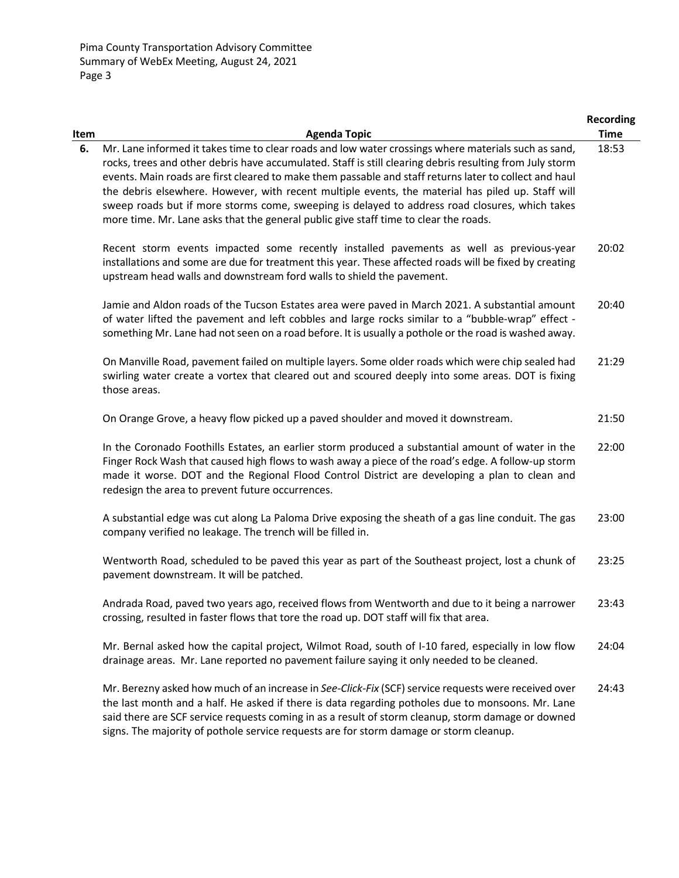|      |                                                                                                                                                                                                                                                                                                                                                                                                                                                                                                                                                                                                                           | <b>Recording</b> |
|------|---------------------------------------------------------------------------------------------------------------------------------------------------------------------------------------------------------------------------------------------------------------------------------------------------------------------------------------------------------------------------------------------------------------------------------------------------------------------------------------------------------------------------------------------------------------------------------------------------------------------------|------------------|
| Item | <b>Agenda Topic</b>                                                                                                                                                                                                                                                                                                                                                                                                                                                                                                                                                                                                       | <b>Time</b>      |
| 6.   | Mr. Lane informed it takes time to clear roads and low water crossings where materials such as sand,<br>rocks, trees and other debris have accumulated. Staff is still clearing debris resulting from July storm<br>events. Main roads are first cleared to make them passable and staff returns later to collect and haul<br>the debris elsewhere. However, with recent multiple events, the material has piled up. Staff will<br>sweep roads but if more storms come, sweeping is delayed to address road closures, which takes<br>more time. Mr. Lane asks that the general public give staff time to clear the roads. | 18:53            |
|      | Recent storm events impacted some recently installed pavements as well as previous-year<br>installations and some are due for treatment this year. These affected roads will be fixed by creating<br>upstream head walls and downstream ford walls to shield the pavement.                                                                                                                                                                                                                                                                                                                                                | 20:02            |
|      | Jamie and Aldon roads of the Tucson Estates area were paved in March 2021. A substantial amount<br>of water lifted the pavement and left cobbles and large rocks similar to a "bubble-wrap" effect -<br>something Mr. Lane had not seen on a road before. It is usually a pothole or the road is washed away.                                                                                                                                                                                                                                                                                                             | 20:40            |
|      | On Manville Road, pavement failed on multiple layers. Some older roads which were chip sealed had<br>swirling water create a vortex that cleared out and scoured deeply into some areas. DOT is fixing<br>those areas.                                                                                                                                                                                                                                                                                                                                                                                                    | 21:29            |
|      | On Orange Grove, a heavy flow picked up a paved shoulder and moved it downstream.                                                                                                                                                                                                                                                                                                                                                                                                                                                                                                                                         | 21:50            |
|      | In the Coronado Foothills Estates, an earlier storm produced a substantial amount of water in the<br>Finger Rock Wash that caused high flows to wash away a piece of the road's edge. A follow-up storm<br>made it worse. DOT and the Regional Flood Control District are developing a plan to clean and<br>redesign the area to prevent future occurrences.                                                                                                                                                                                                                                                              | 22:00            |
|      | A substantial edge was cut along La Paloma Drive exposing the sheath of a gas line conduit. The gas<br>company verified no leakage. The trench will be filled in.                                                                                                                                                                                                                                                                                                                                                                                                                                                         | 23:00            |
|      | Wentworth Road, scheduled to be paved this year as part of the Southeast project, lost a chunk of<br>pavement downstream. It will be patched.                                                                                                                                                                                                                                                                                                                                                                                                                                                                             | 23:25            |
|      | Andrada Road, paved two years ago, received flows from Wentworth and due to it being a narrower<br>crossing, resulted in faster flows that tore the road up. DOT staff will fix that area.                                                                                                                                                                                                                                                                                                                                                                                                                                | 23:43            |
|      | Mr. Bernal asked how the capital project, Wilmot Road, south of I-10 fared, especially in low flow<br>drainage areas. Mr. Lane reported no pavement failure saying it only needed to be cleaned.                                                                                                                                                                                                                                                                                                                                                                                                                          | 24:04            |
|      | Mr. Berezny asked how much of an increase in See-Click-Fix (SCF) service requests were received over<br>the last month and a half. He asked if there is data regarding potholes due to monsoons. Mr. Lane<br>said there are SCF service requests coming in as a result of storm cleanup, storm damage or downed<br>signs. The majority of pothole service requests are for storm damage or storm cleanup.                                                                                                                                                                                                                 | 24:43            |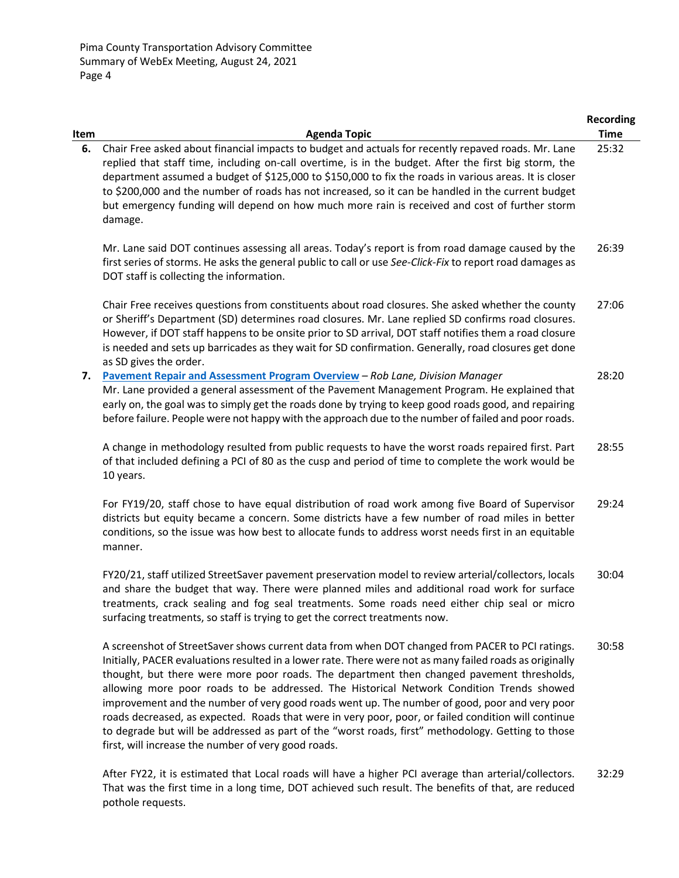| Item | <b>Agenda Topic</b>                                                                                                                                                                                                                                                                                                                                                                                                                                                                                                                                                                                                                                                                                                                                                       | <b>Recording</b><br><b>Time</b> |
|------|---------------------------------------------------------------------------------------------------------------------------------------------------------------------------------------------------------------------------------------------------------------------------------------------------------------------------------------------------------------------------------------------------------------------------------------------------------------------------------------------------------------------------------------------------------------------------------------------------------------------------------------------------------------------------------------------------------------------------------------------------------------------------|---------------------------------|
| 6.   | Chair Free asked about financial impacts to budget and actuals for recently repaved roads. Mr. Lane<br>replied that staff time, including on-call overtime, is in the budget. After the first big storm, the<br>department assumed a budget of \$125,000 to \$150,000 to fix the roads in various areas. It is closer<br>to \$200,000 and the number of roads has not increased, so it can be handled in the current budget<br>but emergency funding will depend on how much more rain is received and cost of further storm<br>damage.                                                                                                                                                                                                                                   | 25:32                           |
|      | Mr. Lane said DOT continues assessing all areas. Today's report is from road damage caused by the<br>first series of storms. He asks the general public to call or use See-Click-Fix to report road damages as<br>DOT staff is collecting the information.                                                                                                                                                                                                                                                                                                                                                                                                                                                                                                                | 26:39                           |
|      | Chair Free receives questions from constituents about road closures. She asked whether the county<br>or Sheriff's Department (SD) determines road closures. Mr. Lane replied SD confirms road closures.<br>However, if DOT staff happens to be onsite prior to SD arrival, DOT staff notifies them a road closure<br>is needed and sets up barricades as they wait for SD confirmation. Generally, road closures get done<br>as SD gives the order.                                                                                                                                                                                                                                                                                                                       | 27:06                           |
| 7.   | Pavement Repair and Assessment Program Overview - Rob Lane, Division Manager<br>Mr. Lane provided a general assessment of the Pavement Management Program. He explained that<br>early on, the goal was to simply get the roads done by trying to keep good roads good, and repairing<br>before failure. People were not happy with the approach due to the number of failed and poor roads.                                                                                                                                                                                                                                                                                                                                                                               | 28:20                           |
|      | A change in methodology resulted from public requests to have the worst roads repaired first. Part<br>of that included defining a PCI of 80 as the cusp and period of time to complete the work would be<br>10 years.                                                                                                                                                                                                                                                                                                                                                                                                                                                                                                                                                     | 28:55                           |
|      | For FY19/20, staff chose to have equal distribution of road work among five Board of Supervisor<br>districts but equity became a concern. Some districts have a few number of road miles in better<br>conditions, so the issue was how best to allocate funds to address worst needs first in an equitable<br>manner.                                                                                                                                                                                                                                                                                                                                                                                                                                                     | 29:24                           |
|      | FY20/21, staff utilized StreetSaver pavement preservation model to review arterial/collectors, locals<br>and share the budget that way. There were planned miles and additional road work for surface<br>treatments, crack sealing and fog seal treatments. Some roads need either chip seal or micro<br>surfacing treatments, so staff is trying to get the correct treatments now.                                                                                                                                                                                                                                                                                                                                                                                      | 30:04                           |
|      | A screenshot of StreetSaver shows current data from when DOT changed from PACER to PCI ratings.<br>Initially, PACER evaluations resulted in a lower rate. There were not as many failed roads as originally<br>thought, but there were more poor roads. The department then changed pavement thresholds,<br>allowing more poor roads to be addressed. The Historical Network Condition Trends showed<br>improvement and the number of very good roads went up. The number of good, poor and very poor<br>roads decreased, as expected. Roads that were in very poor, poor, or failed condition will continue<br>to degrade but will be addressed as part of the "worst roads, first" methodology. Getting to those<br>first, will increase the number of very good roads. | 30:58                           |
|      | Local reade will have a higher DCL system then arterial/collectors                                                                                                                                                                                                                                                                                                                                                                                                                                                                                                                                                                                                                                                                                                        |                                 |

After FY22, it is estimated that Local roads will have a higher PCI average than arterial/collectors. That was the first time in a long time, DOT achieved such result. The benefits of that, are reduced pothole requests. 32:29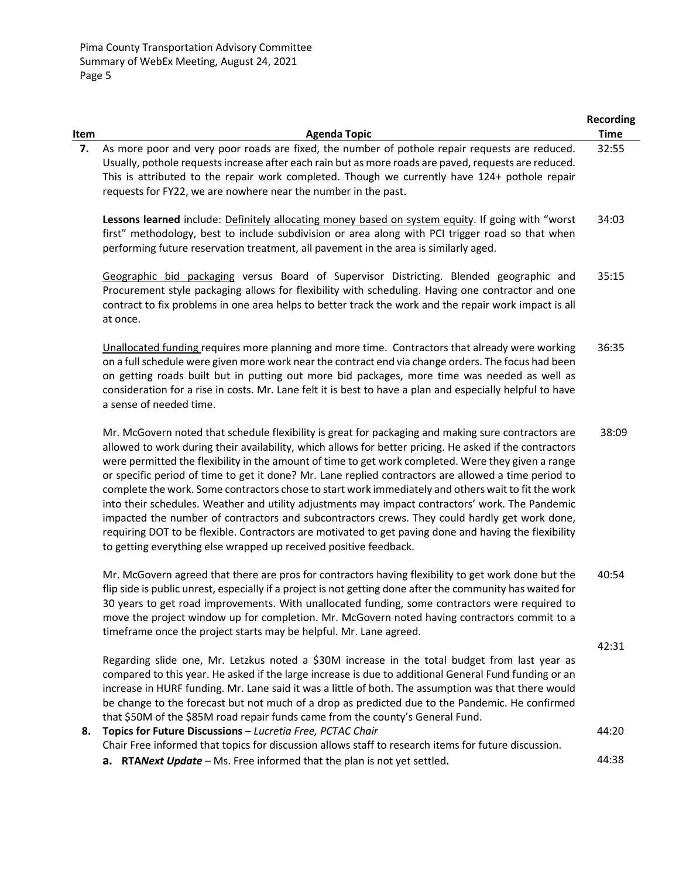| Item | <b>Agenda Topic</b>                                                                                                                                                                                                                                                                                                                                                                                                                                                                                                                                                                                                                                                                                                                                                                                                                                                                                                     | <b>Recording</b><br><b>Time</b> |
|------|-------------------------------------------------------------------------------------------------------------------------------------------------------------------------------------------------------------------------------------------------------------------------------------------------------------------------------------------------------------------------------------------------------------------------------------------------------------------------------------------------------------------------------------------------------------------------------------------------------------------------------------------------------------------------------------------------------------------------------------------------------------------------------------------------------------------------------------------------------------------------------------------------------------------------|---------------------------------|
| 7.   | As more poor and very poor roads are fixed, the number of pothole repair requests are reduced.<br>Usually, pothole requests increase after each rain but as more roads are paved, requests are reduced.<br>This is attributed to the repair work completed. Though we currently have 124+ pothole repair<br>requests for FY22, we are nowhere near the number in the past.                                                                                                                                                                                                                                                                                                                                                                                                                                                                                                                                              | 32:55                           |
|      | Lessons learned include: Definitely allocating money based on system equity. If going with "worst<br>first" methodology, best to include subdivision or area along with PCI trigger road so that when<br>performing future reservation treatment, all pavement in the area is similarly aged.                                                                                                                                                                                                                                                                                                                                                                                                                                                                                                                                                                                                                           | 34:03                           |
|      | Geographic bid packaging versus Board of Supervisor Districting. Blended geographic and<br>Procurement style packaging allows for flexibility with scheduling. Having one contractor and one<br>contract to fix problems in one area helps to better track the work and the repair work impact is all<br>at once.                                                                                                                                                                                                                                                                                                                                                                                                                                                                                                                                                                                                       | 35:15                           |
|      | Unallocated funding requires more planning and more time. Contractors that already were working<br>on a full schedule were given more work near the contract end via change orders. The focus had been<br>on getting roads built but in putting out more bid packages, more time was needed as well as<br>consideration for a rise in costs. Mr. Lane felt it is best to have a plan and especially helpful to have<br>a sense of needed time.                                                                                                                                                                                                                                                                                                                                                                                                                                                                          | 36:35                           |
|      | Mr. McGovern noted that schedule flexibility is great for packaging and making sure contractors are<br>allowed to work during their availability, which allows for better pricing. He asked if the contractors<br>were permitted the flexibility in the amount of time to get work completed. Were they given a range<br>or specific period of time to get it done? Mr. Lane replied contractors are allowed a time period to<br>complete the work. Some contractors chose to start work immediately and others wait to fit the work<br>into their schedules. Weather and utility adjustments may impact contractors' work. The Pandemic<br>impacted the number of contractors and subcontractors crews. They could hardly get work done,<br>requiring DOT to be flexible. Contractors are motivated to get paving done and having the flexibility<br>to getting everything else wrapped up received positive feedback. | 38:09                           |
|      | Mr. McGovern agreed that there are pros for contractors having flexibility to get work done but the<br>flip side is public unrest, especially if a project is not getting done after the community has waited for<br>30 years to get road improvements. With unallocated funding, some contractors were required to<br>move the project window up for completion. Mr. McGovern noted having contractors commit to a<br>timeframe once the project starts may be helpful. Mr. Lane agreed.                                                                                                                                                                                                                                                                                                                                                                                                                               | 40:54                           |
|      |                                                                                                                                                                                                                                                                                                                                                                                                                                                                                                                                                                                                                                                                                                                                                                                                                                                                                                                         | 42:31                           |
|      | Regarding slide one, Mr. Letzkus noted a \$30M increase in the total budget from last year as<br>compared to this year. He asked if the large increase is due to additional General Fund funding or an<br>increase in HURF funding. Mr. Lane said it was a little of both. The assumption was that there would<br>be change to the forecast but not much of a drop as predicted due to the Pandemic. He confirmed<br>that \$50M of the \$85M road repair funds came from the county's General Fund.                                                                                                                                                                                                                                                                                                                                                                                                                     |                                 |
| 8.   | Topics for Future Discussions - Lucretia Free, PCTAC Chair<br>Chair Free informed that topics for discussion allows staff to research items for future discussion.                                                                                                                                                                                                                                                                                                                                                                                                                                                                                                                                                                                                                                                                                                                                                      | 44:20                           |
|      | a. RTANext Update - Ms. Free informed that the plan is not yet settled.                                                                                                                                                                                                                                                                                                                                                                                                                                                                                                                                                                                                                                                                                                                                                                                                                                                 | 44:38                           |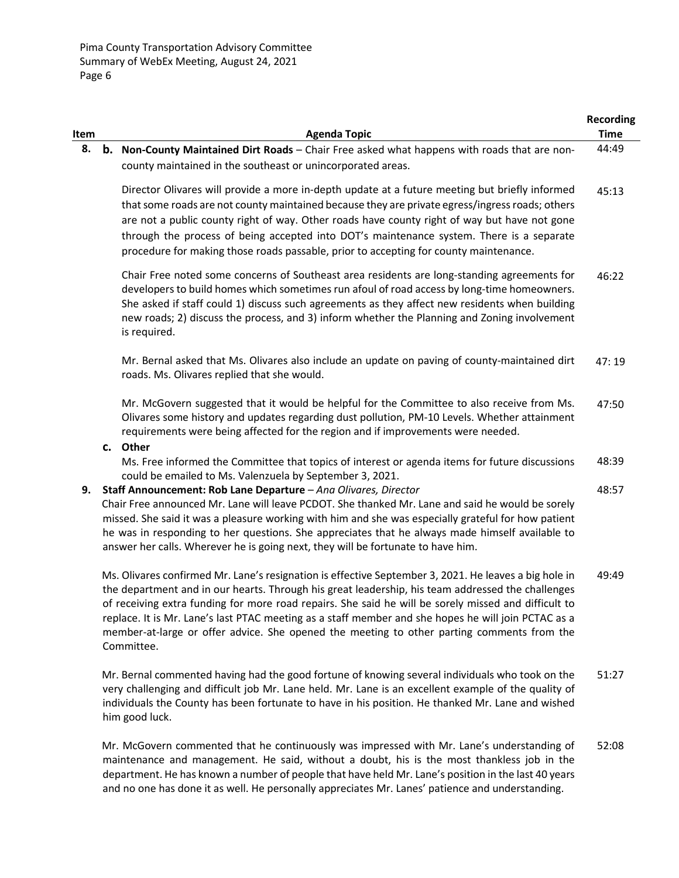|      |                                                                                                              | <b>Recording</b> |
|------|--------------------------------------------------------------------------------------------------------------|------------------|
| Item | <b>Agenda Topic</b>                                                                                          | <b>Time</b>      |
| 8.   | <b>b.</b> Non-County Maintained Dirt Roads - Chair Free asked what happens with roads that are non-          | 44:49            |
|      | county maintained in the southeast or unincorporated areas.                                                  |                  |
|      | Director Olivares will provide a more in-depth update at a future meeting but briefly informed               | 45:13            |
|      | that some roads are not county maintained because they are private egress/ingress roads; others              |                  |
|      | are not a public county right of way. Other roads have county right of way but have not gone                 |                  |
|      | through the process of being accepted into DOT's maintenance system. There is a separate                     |                  |
|      | procedure for making those roads passable, prior to accepting for county maintenance.                        |                  |
|      | Chair Free noted some concerns of Southeast area residents are long-standing agreements for                  | 46:22            |
|      | developers to build homes which sometimes run afoul of road access by long-time homeowners.                  |                  |
|      | She asked if staff could 1) discuss such agreements as they affect new residents when building               |                  |
|      | new roads; 2) discuss the process, and 3) inform whether the Planning and Zoning involvement<br>is required. |                  |
|      | Mr. Bernal asked that Ms. Olivares also include an update on paving of county-maintained dirt                | 47:19            |
|      | roads. Ms. Olivares replied that she would.                                                                  |                  |
|      | Mr. McGovern suggested that it would be helpful for the Committee to also receive from Ms.                   | 47:50            |
|      | Olivares some history and updates regarding dust pollution, PM-10 Levels. Whether attainment                 |                  |
|      | requirements were being affected for the region and if improvements were needed.                             |                  |
|      | c. Other                                                                                                     |                  |
|      | Ms. Free informed the Committee that topics of interest or agenda items for future discussions               | 48:39            |
|      | could be emailed to Ms. Valenzuela by September 3, 2021.                                                     |                  |
| 9.   | Staff Announcement: Rob Lane Departure - Ana Olivares, Director                                              | 48:57            |
|      | Chair Free announced Mr. Lane will leave PCDOT. She thanked Mr. Lane and said he would be sorely             |                  |
|      | missed. She said it was a pleasure working with him and she was especially grateful for how patient          |                  |
|      | he was in responding to her questions. She appreciates that he always made himself available to              |                  |
|      | answer her calls. Wherever he is going next, they will be fortunate to have him.                             |                  |
|      | Ms. Olivares confirmed Mr. Lane's resignation is effective September 3, 2021. He leaves a big hole in        | 49:49            |
|      | the department and in our hearts. Through his great leadership, his team addressed the challenges            |                  |
|      | of receiving extra funding for more road repairs. She said he will be sorely missed and difficult to         |                  |
|      | replace. It is Mr. Lane's last PTAC meeting as a staff member and she hopes he will join PCTAC as a          |                  |
|      | member-at-large or offer advice. She opened the meeting to other parting comments from the                   |                  |
|      | Committee.                                                                                                   |                  |
|      | Mr. Bernal commented having had the good fortune of knowing several individuals who took on the              | 51:27            |
|      | very challenging and difficult job Mr. Lane held. Mr. Lane is an excellent example of the quality of         |                  |
|      | individuals the County has been fortunate to have in his position. He thanked Mr. Lane and wished            |                  |
|      | him good luck.                                                                                               |                  |
|      | Mr. McGovern commented that he continuously was impressed with Mr. Lane's understanding of                   | 52:08            |
|      | maintenance and management. He said, without a doubt, his is the most thankless job in the                   |                  |

department. He has known a number of people that have held Mr. Lane's position in the last 40 years and no one has done it as well. He personally appreciates Mr. Lanes' patience and understanding.